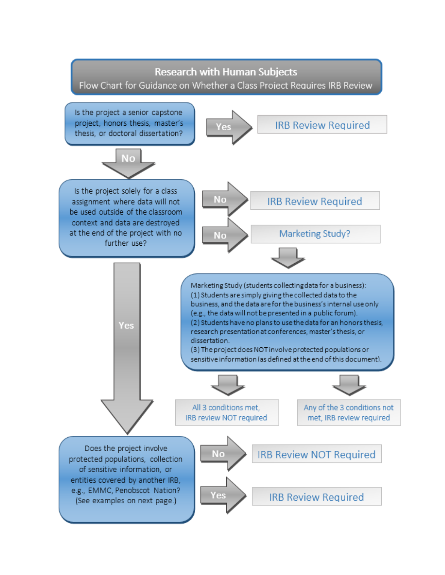